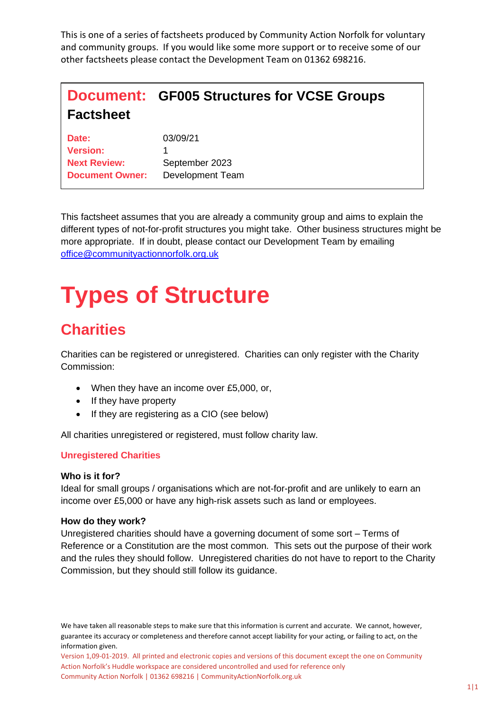This is one of a series of factsheets produced by Community Action Norfolk for voluntary and community groups. If you would like some more support or to receive some of our other factsheets please contact the Development Team on 01362 698216.

|                  | <b>Document: GF005 Structures for VCSE Groups</b> |
|------------------|---------------------------------------------------|
| <b>Factsheet</b> |                                                   |

| Date:                  | 03/09/21                |
|------------------------|-------------------------|
| <b>Version:</b>        |                         |
| <b>Next Review:</b>    | September 2023          |
| <b>Document Owner:</b> | <b>Development Team</b> |

This factsheet assumes that you are already a community group and aims to explain the different types of not-for-profit structures you might take. Other business structures might be more appropriate. If in doubt, please contact our Development Team by emailing [office@communityactionnorfolk.org.uk](mailto:office@communityactionnorfolk.org.uk)

# **Types of Structure**

# **Charities**

Charities can be registered or unregistered. Charities can only register with the Charity Commission:

- When they have an income over £5,000, or,
- If they have property
- If they are registering as a CIO (see below)

All charities unregistered or registered, must follow charity law.

# **Unregistered Charities**

#### **Who is it for?**

Ideal for small groups / organisations which are not-for-profit and are unlikely to earn an income over £5,000 or have any high-risk assets such as land or employees.

#### **How do they work?**

Unregistered charities should have a governing document of some sort – Terms of Reference or a Constitution are the most common. This sets out the purpose of their work and the rules they should follow. Unregistered charities do not have to report to the Charity Commission, but they should still follow its guidance.

We have taken all reasonable steps to make sure that this information is current and accurate. We cannot, however, guarantee its accuracy or completeness and therefore cannot accept liability for your acting, or failing to act, on the information given.

Version 1,09-01-2019. All printed and electronic copies and versions of this document except the one on Community Action Norfolk's Huddle workspace are considered uncontrolled and used for reference only Community Action Norfolk | 01362 698216 | CommunityActionNorfolk.org.uk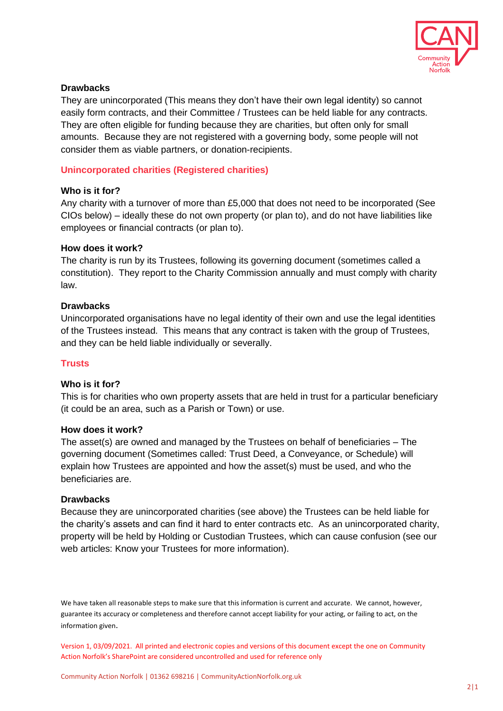

### **Drawbacks**

They are unincorporated (This means they don't have their own legal identity) so cannot easily form contracts, and their Committee / Trustees can be held liable for any contracts. They are often eligible for funding because they are charities, but often only for small amounts. Because they are not registered with a governing body, some people will not consider them as viable partners, or donation-recipients.

## **Unincorporated charities (Registered charities)**

#### **Who is it for?**

Any charity with a turnover of more than £5,000 that does not need to be incorporated (See CIOs below) – ideally these do not own property (or plan to), and do not have liabilities like employees or financial contracts (or plan to).

#### **How does it work?**

The charity is run by its Trustees, following its governing document (sometimes called a constitution). They report to the Charity Commission annually and must comply with charity law.

#### **Drawbacks**

Unincorporated organisations have no legal identity of their own and use the legal identities of the Trustees instead. This means that any contract is taken with the group of Trustees, and they can be held liable individually or severally.

#### **Trusts**

#### **Who is it for?**

This is for charities who own property assets that are held in trust for a particular beneficiary (it could be an area, such as a Parish or Town) or use.

#### **How does it work?**

The asset(s) are owned and managed by the Trustees on behalf of beneficiaries – The governing document (Sometimes called: Trust Deed, a Conveyance, or Schedule) will explain how Trustees are appointed and how the asset(s) must be used, and who the beneficiaries are.

#### **Drawbacks**

Because they are unincorporated charities (see above) the Trustees can be held liable for the charity's assets and can find it hard to enter contracts etc. As an unincorporated charity, property will be held by Holding or Custodian Trustees, which can cause confusion (see our web articles: Know your Trustees for more information).

We have taken all reasonable steps to make sure that this information is current and accurate. We cannot, however, guarantee its accuracy or completeness and therefore cannot accept liability for your acting, or failing to act, on the information given.

Version 1, 03/09/2021. All printed and electronic copies and versions of this document except the one on Community Action Norfolk's SharePoint are considered uncontrolled and used for reference only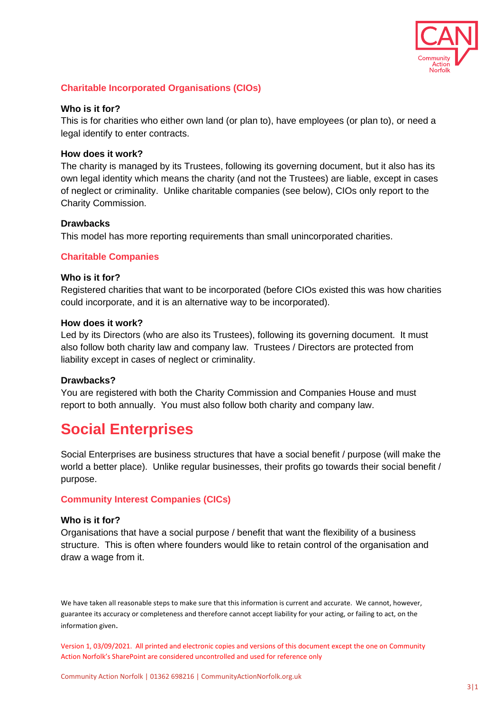

## **Charitable Incorporated Organisations (CIOs)**

#### **Who is it for?**

This is for charities who either own land (or plan to), have employees (or plan to), or need a legal identify to enter contracts.

#### **How does it work?**

The charity is managed by its Trustees, following its governing document, but it also has its own legal identity which means the charity (and not the Trustees) are liable, except in cases of neglect or criminality. Unlike charitable companies (see below), CIOs only report to the Charity Commission.

#### **Drawbacks**

This model has more reporting requirements than small unincorporated charities.

#### **Charitable Companies**

#### **Who is it for?**

Registered charities that want to be incorporated (before CIOs existed this was how charities could incorporate, and it is an alternative way to be incorporated).

#### **How does it work?**

Led by its Directors (who are also its Trustees), following its governing document. It must also follow both charity law and company law. Trustees / Directors are protected from liability except in cases of neglect or criminality.

#### **Drawbacks?**

You are registered with both the Charity Commission and Companies House and must report to both annually. You must also follow both charity and company law.

# **Social Enterprises**

Social Enterprises are business structures that have a social benefit / purpose (will make the world a better place). Unlike regular businesses, their profits go towards their social benefit / purpose.

#### **Community Interest Companies (CICs)**

#### **Who is it for?**

Organisations that have a social purpose / benefit that want the flexibility of a business structure. This is often where founders would like to retain control of the organisation and draw a wage from it.

We have taken all reasonable steps to make sure that this information is current and accurate. We cannot, however, guarantee its accuracy or completeness and therefore cannot accept liability for your acting, or failing to act, on the information given.

Version 1, 03/09/2021. All printed and electronic copies and versions of this document except the one on Community Action Norfolk's SharePoint are considered uncontrolled and used for reference only